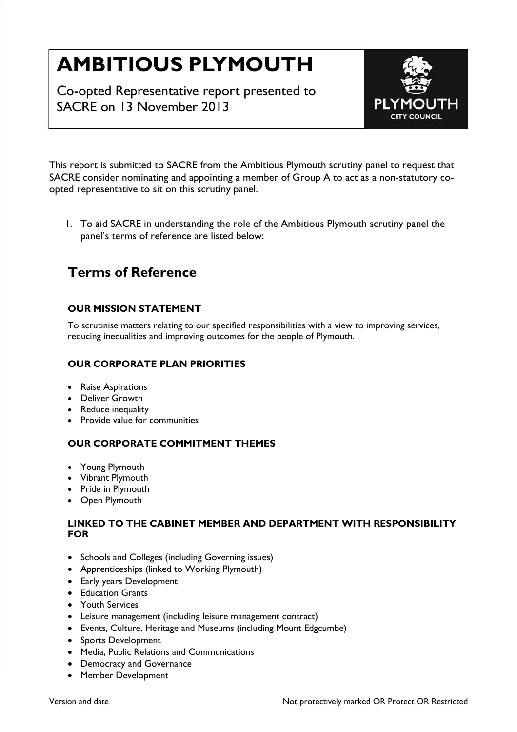# **AMBITIOUS PLYMOUTH**

Co-opted Representative report presented to SACRE on 13 November 2013



This report is submitted to SACRE from the Ambitious Plymouth scrutiny panel to request that SACRE consider nominating and appointing a member of Group A to act as a non-statutory coopted representative to sit on this scrutiny panel.

1. To aid SACRE in understanding the role of the Ambitious Plymouth scrutiny panel the panel's terms of reference are listed below:

# **Terms of Reference**

# **OUR MISSION STATEMENT**

To scrutinise matters relating to our specified responsibilities with a view to improving services, reducing inequalities and improving outcomes for the people of Plymouth.

## **OUR CORPORATE PLAN PRIORITIES**

- Raise Aspirations
- Deliver Growth
- Reduce inequality
- Provide value for communities

#### **OUR CORPORATE COMMITMENT THEMES**

- Young Plymouth
- Vibrant Plymouth
- Pride in Plymouth
- Open Plymouth

#### **LINKED TO THE CABINET MEMBER AND DEPARTMENT WITH RESPONSIBILITY FOR**

- Schools and Colleges (including Governing issues)
- Apprenticeships (linked to Working Plymouth)
- Early years Development
- Education Grants
- Youth Services
- Leisure management (including leisure management contract)
- Events, Culture, Heritage and Museums (including Mount Edgcumbe)
- Sports Development
- Media, Public Relations and Communications
- Democracy and Governance
- Member Development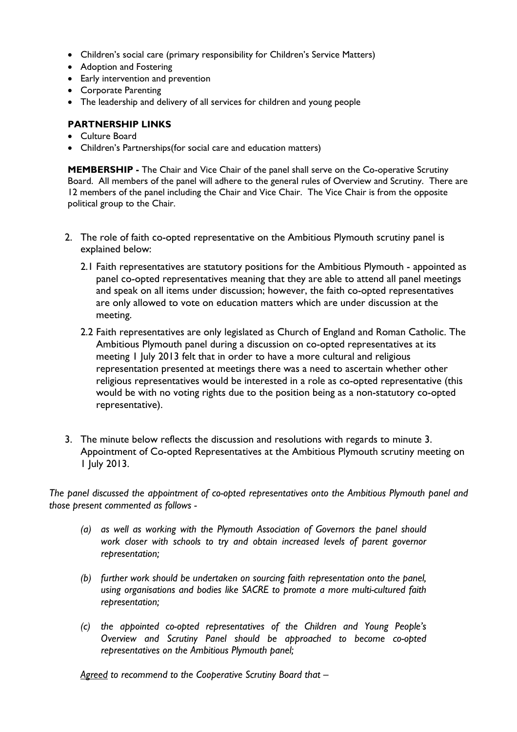- Children's social care (primary responsibility for Children's Service Matters)
- Adoption and Fostering
- Early intervention and prevention
- Corporate Parenting
- The leadership and delivery of all services for children and young people

## **PARTNERSHIP LINKS**

- Culture Board
- Children's Partnerships(for social care and education matters)

**MEMBERSHIP** - The Chair and Vice Chair of the panel shall serve on the Co-operative Scrutiny Board. All members of the panel will adhere to the general rules of Overview and Scrutiny. There are 12 members of the panel including the Chair and Vice Chair. The Vice Chair is from the opposite political group to the Chair.

- 2. The role of faith co-opted representative on the Ambitious Plymouth scrutiny panel is explained below:
	- 2.1 Faith representatives are statutory positions for the Ambitious Plymouth appointed as panel co-opted representatives meaning that they are able to attend all panel meetings and speak on all items under discussion; however, the faith co-opted representatives are only allowed to vote on education matters which are under discussion at the meeting.
	- 2.2 Faith representatives are only legislated as Church of England and Roman Catholic. The Ambitious Plymouth panel during a discussion on co-opted representatives at its meeting 1 July 2013 felt that in order to have a more cultural and religious representation presented at meetings there was a need to ascertain whether other religious representatives would be interested in a role as co-opted representative (this would be with no voting rights due to the position being as a non-statutory co-opted representative).
- 3. The minute below reflects the discussion and resolutions with regards to minute 3. Appointment of Co-opted Representatives at the Ambitious Plymouth scrutiny meeting on 1 July 2013.

*The panel discussed the appointment of co-opted representatives onto the Ambitious Plymouth panel and those present commented as follows -* 

- *(a) as well as working with the Plymouth Association of Governors the panel should work closer with schools to try and obtain increased levels of parent governor representation;*
- *(b) further work should be undertaken on sourcing faith representation onto the panel, using organisations and bodies like SACRE to promote a more multi-cultured faith representation;*
- *(c) the appointed co-opted representatives of the Children and Young People's Overview and Scrutiny Panel should be approached to become co-opted representatives on the Ambitious Plymouth panel;*

*Agreed to recommend to the Cooperative Scrutiny Board that –*